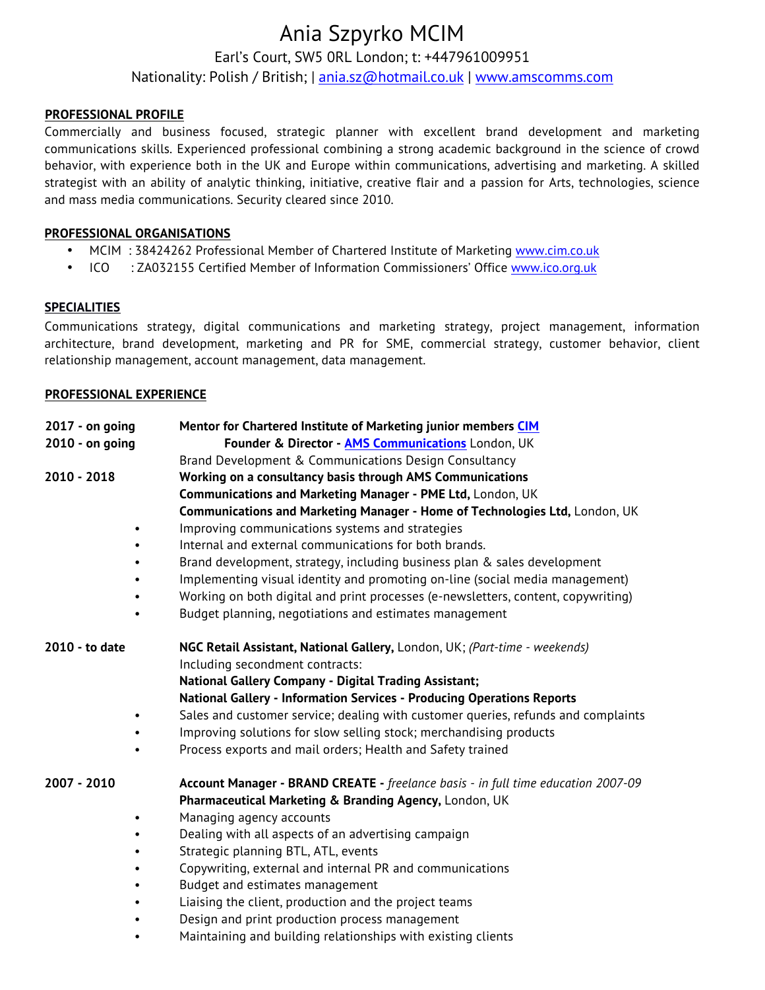# Ania Szpyrko MCIM

Earl's Court, SW5 0RL London; t: +447961009951

Nationality: Polish / British; | ania.sz@hotmail.co.uk | www.amscomms.com

#### **PROFESSIONAL PROFILE**

Commercially and business focused, strategic planner with excellent brand development and marketing communications skills. Experienced professional combining a strong academic background in the science of crowd behavior, with experience both in the UK and Europe within communications, advertising and marketing. A skilled strategist with an ability of analytic thinking, initiative, creative flair and a passion for Arts, technologies, science and mass media communications. Security cleared since 2010.

# **PROFESSIONAL ORGANISATIONS**

- MCIM : 38424262 Professional Member of Chartered Institute of Marketing www.cim.co.uk
- ICO : ZA032155 Certified Member of Information Commissioners' Office www.ico.org.uk

# **SPECIALITIES**

Communications strategy, digital communications and marketing strategy, project management, information architecture, brand development, marketing and PR for SME, commercial strategy, customer behavior, client relationship management, account management, data management.

#### **PROFESSIONAL EXPERIENCE**

| $2017 - on going$ | Mentor for Chartered Institute of Marketing junior members CIM                    |  |
|-------------------|-----------------------------------------------------------------------------------|--|
| 2010 - on going   | Founder & Director - AMS Communications London, UK                                |  |
|                   | Brand Development & Communications Design Consultancy                             |  |
| $2010 - 2018$     | Working on a consultancy basis through AMS Communications                         |  |
|                   | Communications and Marketing Manager - PME Ltd, London, UK                        |  |
|                   | Communications and Marketing Manager - Home of Technologies Ltd, London, UK       |  |
|                   | Improving communications systems and strategies                                   |  |
|                   | Internal and external communications for both brands.                             |  |
|                   | Brand development, strategy, including business plan & sales development          |  |
|                   | Implementing visual identity and promoting on-line (social media management)      |  |
|                   | Working on both digital and print processes (e-newsletters, content, copywriting) |  |
|                   | Budget planning, negotiations and estimates management                            |  |
| 2010 - to date    | NGC Retail Assistant, National Gallery, London, UK; (Part-time - weekends)        |  |
|                   | Including secondment contracts:                                                   |  |
|                   | National Gallery Company - Digital Trading Assistant;                             |  |
|                   | National Gallery - Information Services - Producing Operations Reports            |  |
|                   | Sales and customer service; dealing with customer queries, refunds and complaints |  |
|                   | Improving solutions for slow selling stock; merchandising products                |  |
|                   | Process exports and mail orders; Health and Safety trained                        |  |
| 2007 - 2010       | Account Manager - BRAND CREATE - freelance basis - in full time education 2007-09 |  |
|                   | Pharmaceutical Marketing & Branding Agency, London, UK                            |  |
|                   | Managing agency accounts                                                          |  |
|                   | Dealing with all aspects of an advertising campaign                               |  |
|                   | Strategic planning BTL, ATL, events                                               |  |
|                   | Copywriting, external and internal PR and communications                          |  |
|                   | Budget and estimates management                                                   |  |
|                   | Liaising the client, production and the project teams                             |  |
|                   | Design and print production process management                                    |  |
|                   | Maintaining and building relationships with existing clients                      |  |